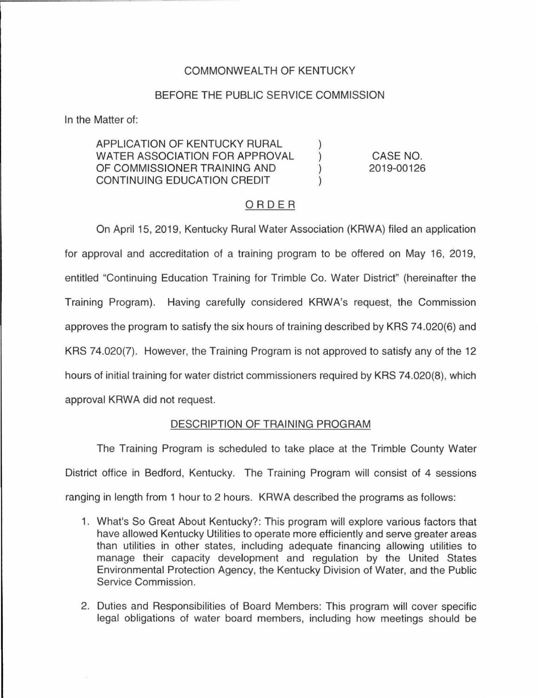## COMMONWEAL TH OF KENTUCKY

#### BEFORE THE PUBLIC SERVICE COMMISSION

In the Matter of:

APPLICATION OF KENTUCKY RURAL WATER ASSOCIATION FOR APPROVAL OF COMMISSIONER TRAINING AND CONTINUING EDUCATION CREDIT

CASE NO. 2019-00126

#### ORDER

On April 15, 2019, Kentucky Rural Water Association (KRWA) filed an application for approval and accreditation of a training program to be offered on May 16, 2019, entitled "Continuing Education Training for Trimble Co. Water District" (hereinafter the Training Program). Having carefully considered KRWA's request, the Commission approves the program to satisfy the six hours of training described by KRS 74.020(6) and KRS 74.020(7). However, the Training Program is not approved to satisfy any of the 12 hours of initial training for water district commissioners required by KRS 74.020(8), which approval KRWA did not request.

### DESCRIPTION OF TRAINING PROGRAM

The Training Program is scheduled to take place at the Trimble County Water District office in Bedford, Kentucky. The Training Program will consist of 4 sessions ranging in length from 1 hour to 2 hours. KRWA described the programs as follows:

- 1. What's So Great About Kentucky?: This program will explore various factors that have allowed Kentucky Utilities to operate more efficiently and serve greater areas than utilities in other states, including adequate financing allowing utilities to manage their capacity development and regulation by the United States Environmental Protection Agency, the Kentucky Division of Water, and the Public Service Commission.
- 2. Duties and Responsibilities of Board Members: This program will cover specific legal obligations of water board members, including how meetings should be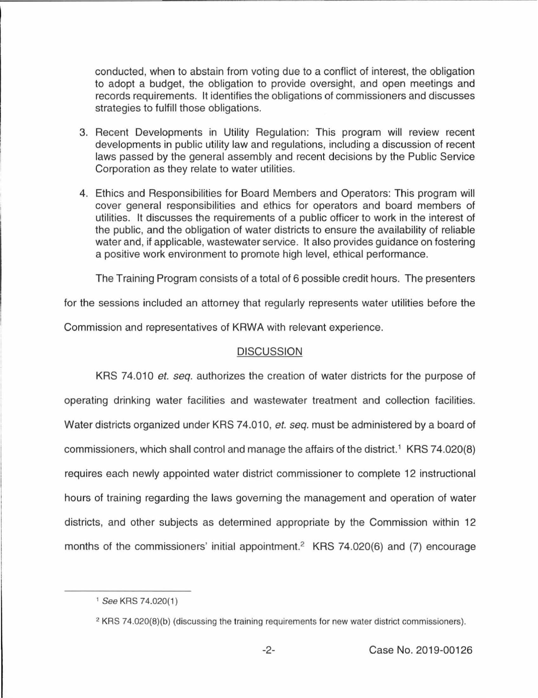conducted, when to abstain from voting due to a conflict of interest, the obligation to adopt a budget, the obligation to provide oversight, and open meetings and records requirements. It identifies the obligations of commissioners and discusses strategies to fulfill those obligations.

- 3. Recent Developments in Utility Regulation: This program will review recent developments in public utility law and regulations, including a discussion of recent laws passed by the general assembly and recent decisions by the Public Service Corporation as they relate to water utilities.
- 4. Ethics and Responsibilities for Board Members and Operators: This program will cover general responsibilities and ethics for operators and board members of utilities. It discusses the requirements of a public officer to work in the interest of the public, and the obligation of water districts to ensure the availability of reliable water and, if applicable, wastewater service. It also provides guidance on fostering a positive work environment to promote high level, ethical performance.

The Training Program consists of a total of 6 possible credit hours. The presenters

for the sessions included an attorney that regularly represents water utilities before the

Commission and representatives of KAWA with relevant experience.

## **DISCUSSION**

KRS 7 4.010 *et. seq.* authorizes the creation of water districts for the purpose of operating drinking water facilities and wastewater treatment and collection facilities. Water districts organized under KRS 74.010, *et. seq.* must be administered by a board of commissioners, which shall control and manage the affairs of the district.<sup>1</sup> KRS 74.020(8) requires each newly appointed water district commissioner to complete 12 instructional hours of training regarding the laws governing the management and operation of water districts, and other subjects as determined appropriate by the Commission within 12 months of the commissioners' initial appointment.<sup>2</sup> KRS 74.020(6) and (7) encourage

<sup>1</sup>See KRS 74.020(1)

<sup>&</sup>lt;sup>2</sup> KRS 74.020(8)(b) (discussing the training requirements for new water district commissioners).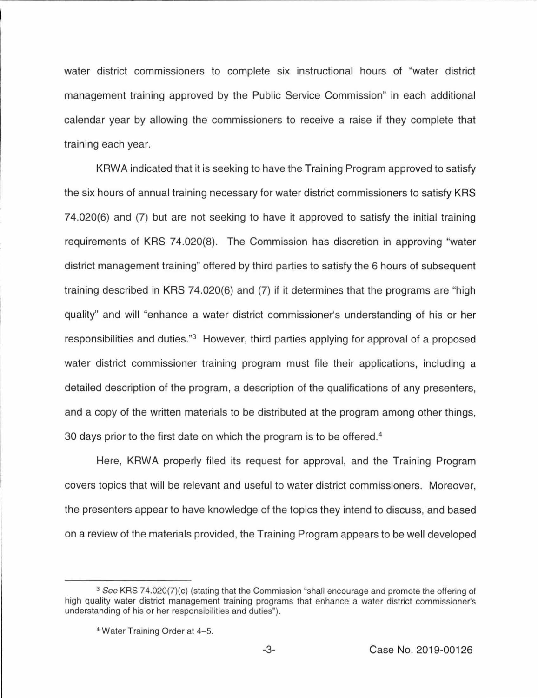water district commissioners to complete six instructional hours of "water district management training approved by the Public Service Commission" in each additional calendar year by allowing the commissioners to receive a raise if they complete that training each year.

KRWA indicated that it is seeking to have the Training Program approved to satisfy the six hours of annual training necessary for water district commissioners to satisfy KRS 74.020(6) and (7) but are not seeking to have it approved to satisfy the initial training requirements of KRS 74.020(8). The Commission has discretion in approving "water district management training" offered by third parties to satisfy the 6 hours of subsequent training described in KRS 74.020(6) and (7) if it determines that the programs are "high quality" and will "enhance a water district commissioner's understanding of his or her responsibilities and duties."3 However, third parties applying for approval of a proposed water district commissioner training program must file their applications, including a detailed description of the program, a description of the qualifications of any presenters, and a copy of the written materials to be distributed at the program among other things, 30 days prior to the first date on which the program is to be offered.<sup>4</sup>

Here, KRWA properly filed its request for approval, and the Training Program covers topics that will be relevant and useful to water district commissioners. Moreover, the presenters appear to have knowledge of the topics they intend to discuss, and based on a review of the materials provided, the Training Program appears to be well developed

<sup>&</sup>lt;sup>3</sup> See KRS 74.020(7)(c) (stating that the Commission "shall encourage and promote the offering of high quality water district management training programs that enhance a water district commissioner's understanding of his or her responsibilities and duties").

<sup>4</sup> Water Training Order at 4-5.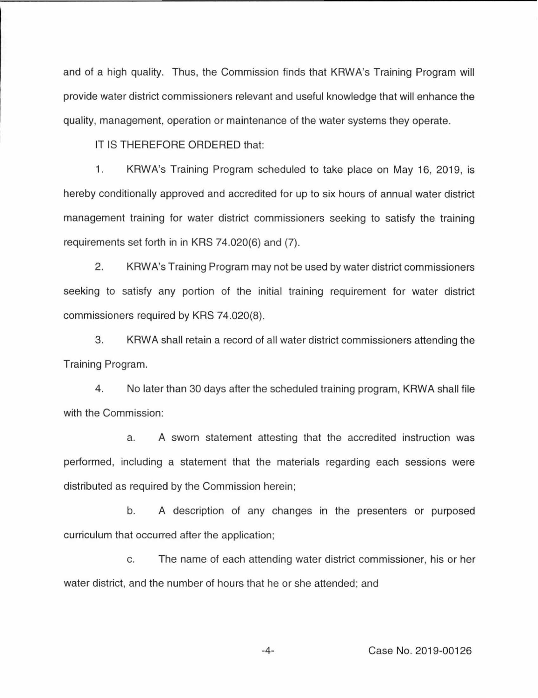and of a high quality. Thus, the Commission finds that KRWA's Training Program will provide water district commissioners relevant and useful knowledge that will enhance the quality, management, operation or maintenance of the water systems they operate.

IT IS THEREFORE ORDERED that:

1. KRWA's Training Program scheduled to take place on May 16, 2019, is hereby conditionally approved and accredited for up to six hours of annual water district management training for water district commissioners seeking to satisfy the training requirements set forth in in KRS 74.020(6) and (7).

2. KRWA's Training Program may not be used by water district commissioners seeking to satisfy any portion of the initial training requirement for water district commissioners required by KRS 74.020(8).

3. KAWA shall retain a record of all water district commissioners attending the Training Program.

4. No later than 30 days after the scheduled training program, KAWA shall file with the Commission:

a. A sworn statement attesting that the accredited instruction was performed, including a statement that the materials regarding each sessions were distributed as required by the Commission herein;

b. A description of any changes in the presenters or purposed curriculum that occurred after the application;

c. The name of each attending water district commissioner, his or her water district, and the number of hours that he or she attended; and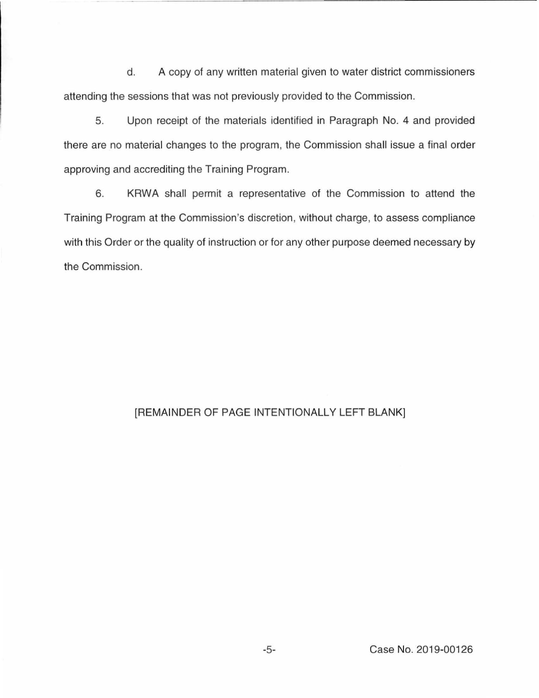d. A copy of any written material given to water district commissioners attending the sessions that was not previously provided to the Commission.

5. Upon receipt of the materials identified in Paragraph No. 4 and provided there are no material changes to the program, the Commission shall issue a final order approving and accrediting the Training Program.

6. KRWA shall permit a representative of the Commission to attend the Training Program at the Commission's discretion, without charge, to assess compliance with this Order or the quality of instruction or for any other purpose deemed necessary by the Commission.

# [REMAINDER OF PAGE INTENTIONALLY LEFT BLANK]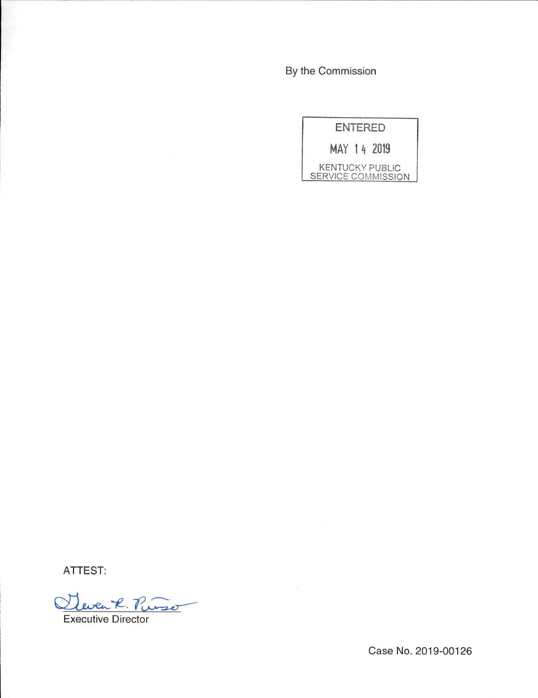By the Commission

| <b>ENTERED</b>                               |
|----------------------------------------------|
| MAY 14 2019                                  |
| <b>KENTUCKY PUBLIC</b><br>SERVICE COMMISSION |

ATTEST:

Twenk. Purso

Executive Director

Case No. 2019-00126